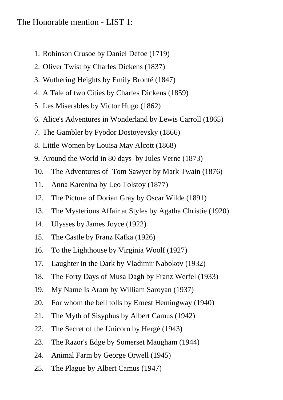## The Honorable mention - LIST 1:

- 1. Robinson Crusoe by Daniel Defoe (1719)
- 2. Oliver Twist by Charles Dickens (1837)
- 3. Wuthering Heights by Emily Brontë (1847)
- 4. A Tale of two Cities by Charles Dickens (1859)
- 5. Les Miserables by Victor Hugo (1862)
- 6. Alice's Adventures in Wonderland by Lewis Carroll (1865)
- 7. The Gambler by Fyodor Dostoyevsky (1866)
- 8. Little Women by Louisa May Alcott (1868)
- 9. Around the World in 80 days by Jules Verne (1873)
- 10. The Adventures of Tom Sawyer by Mark Twain (1876)
- 11. Anna Karenina by Leo Tolstoy (1877)
- 12. The Picture of Dorian Gray by Oscar Wilde (1891)
- 13. The Mysterious Affair at Styles by Agatha Christie (1920)
- 14. Ulysses by James Joyce (1922)
- 15. The Castle by Franz Kafka (1926)
- 16. To the Lighthouse by Virginia Woolf (1927)
- 17. Laughter in the Dark by Vladimir Nabokov (1932)
- 18. The Forty Days of Musa Dagh by Franz Werfel (1933)
- 19. My Name Is Aram by William Saroyan (1937)
- 20. For whom the bell tolls by Ernest Hemingway (1940)
- 21. The Myth of Sisyphus by Albert Camus (1942)
- 22. The Secret of the Unicorn by Hergé (1943)
- 23. The Razor's Edge by Somerset Maugham (1944)
- 24. Animal Farm by George Orwell (1945)
- 25. The Plague by Albert Camus (1947)